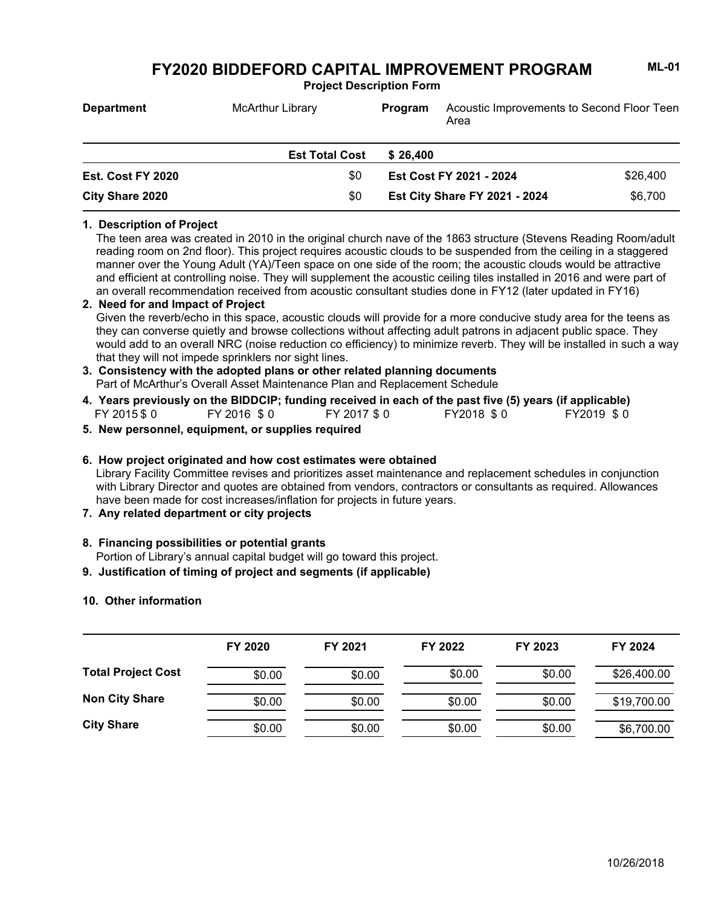**Project Description Form**

| <b>Department</b>        | <b>McArthur Library</b> | Program                 | Acoustic Improvements to Second Floor Teen<br>Area |          |
|--------------------------|-------------------------|-------------------------|----------------------------------------------------|----------|
|                          | <b>Est Total Cost</b>   | \$26.400                |                                                    |          |
| <b>Est. Cost FY 2020</b> | \$0                     | Est Cost FY 2021 - 2024 |                                                    | \$26,400 |
| <b>City Share 2020</b>   | \$0                     |                         | <b>Est City Share FY 2021 - 2024</b>               | \$6,700  |

### **1. Description of Project**

The teen area was created in 2010 in the original church nave of the 1863 structure (Stevens Reading Room/adult reading room on 2nd floor). This project requires acoustic clouds to be suspended from the ceiling in a staggered manner over the Young Adult (YA)/Teen space on one side of the room; the acoustic clouds would be attractive and efficient at controlling noise. They will supplement the acoustic ceiling tiles installed in 2016 and were part of an overall recommendation received from acoustic consultant studies done in FY12 (later updated in FY16)

#### **2. Need for and Impact of Project**

Given the reverb/echo in this space, acoustic clouds will provide for a more conducive study area for the teens as they can converse quietly and browse collections without affecting adult patrons in adjacent public space. They would add to an overall NRC (noise reduction co efficiency) to minimize reverb. They will be installed in such a way that they will not impede sprinklers nor sight lines.

# Part of McArthur's Overall Asset Maintenance Plan and Replacement Schedule **3. Consistency with the adopted plans or other related planning documents**

- FY 2015 \$ 0 FY 2016 \$ 0 FY 2017 \$ 0 FY2018 \$ 0 FY2019 \$ 0 **4. Years previously on the BIDDCIP; funding received in each of the past five (5) years (if applicable)**
- **5. New personnel, equipment, or supplies required**

#### **6. How project originated and how cost estimates were obtained**

Library Facility Committee revises and prioritizes asset maintenance and replacement schedules in conjunction with Library Director and quotes are obtained from vendors, contractors or consultants as required. Allowances have been made for cost increases/inflation for projects in future years.

**7. Any related department or city projects**

#### **8. Financing possibilities or potential grants**

Portion of Library's annual capital budget will go toward this project.

### **9. Justification of timing of project and segments (if applicable)**

#### **10. Other information**

|                           | FY 2020 | FY 2021 | FY 2022 | FY 2023 | FY 2024     |
|---------------------------|---------|---------|---------|---------|-------------|
| <b>Total Project Cost</b> | \$0.00  | \$0.00  | \$0.00  | \$0.00  | \$26,400.00 |
| <b>Non City Share</b>     | \$0.00  | \$0.00  | \$0.00  | \$0.00  | \$19,700.00 |
| <b>City Share</b>         | \$0.00  | \$0.00  | \$0.00  | \$0.00  | \$6,700.00  |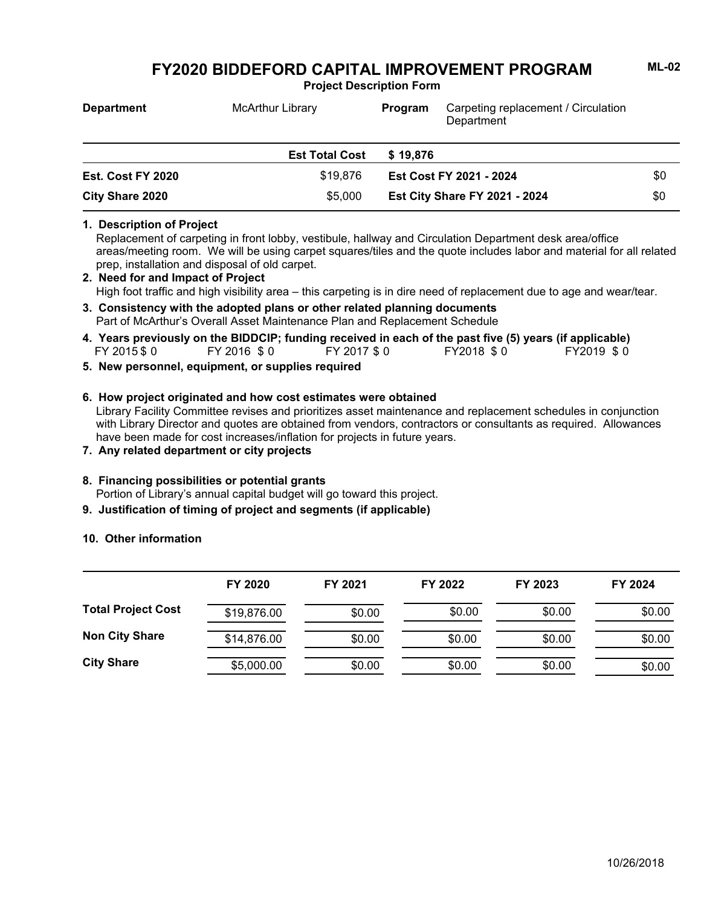**Project Description Form**

| <b>Department</b> | <b>McArthur Library</b> | Carpeting replacement / Circulation<br><b>Program</b><br>Department |  |     |
|-------------------|-------------------------|---------------------------------------------------------------------|--|-----|
|                   | <b>Est Total Cost</b>   | \$19.876                                                            |  |     |
| Est. Cost FY 2020 | \$19.876                | Est Cost FY 2021 - 2024                                             |  | \$0 |
| City Share 2020   | \$5,000                 | <b>Est City Share FY 2021 - 2024</b>                                |  | \$0 |

#### **1. Description of Project**

Replacement of carpeting in front lobby, vestibule, hallway and Circulation Department desk area/office areas/meeting room. We will be using carpet squares/tiles and the quote includes labor and material for all related prep, installation and disposal of old carpet.

- High foot traffic and high visibility area this carpeting is in dire need of replacement due to age and wear/tear. **2. Need for and Impact of Project**
- Part of McArthur's Overall Asset Maintenance Plan and Replacement Schedule **3. Consistency with the adopted plans or other related planning documents**
- FY 2015 \$0 FY 2016 \$0 FY 2017 \$0 FY2018 \$0 FY2019 \$0 **4. Years previously on the BIDDCIP; funding received in each of the past five (5) years (if applicable)**
- **5. New personnel, equipment, or supplies required**
- Library Facility Committee revises and prioritizes asset maintenance and replacement schedules in conjunction with Library Director and quotes are obtained from vendors, contractors or consultants as required. Allowances have been made for cost increases/inflation for projects in future years. **6. How project originated and how cost estimates were obtained**
- **7. Any related department or city projects**

### **8. Financing possibilities or potential grants**

Portion of Library's annual capital budget will go toward this project.

**9. Justification of timing of project and segments (if applicable)**

#### **10. Other information**

|                           | FY 2020     | FY 2021 | FY 2022 | FY 2023 | FY 2024 |
|---------------------------|-------------|---------|---------|---------|---------|
| <b>Total Project Cost</b> | \$19,876.00 | \$0.00  | \$0.00  | \$0.00  | \$0.00  |
| <b>Non City Share</b>     | \$14,876.00 | \$0.00  | \$0.00  | \$0.00  | \$0.00  |
| <b>City Share</b>         | \$5,000.00  | \$0.00  | \$0.00  | \$0.00  | \$0.00  |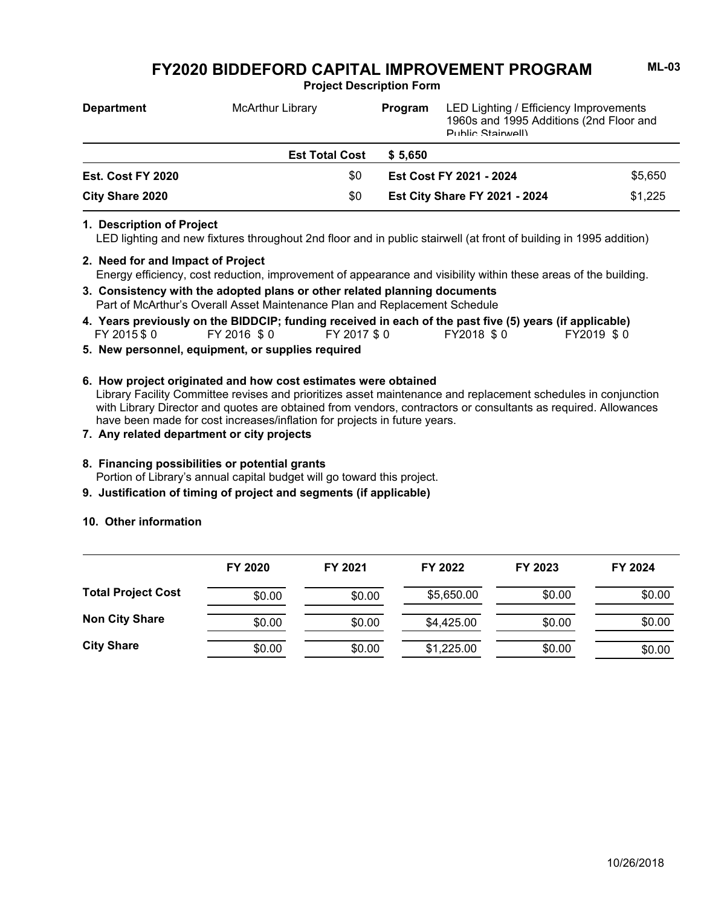**Project Description Form**

| <b>Department</b> | <b>McArthur Library</b> | <b>Program</b>          | LED Lighting / Efficiency Improvements<br>1960s and 1995 Additions (2nd Floor and<br>Public Stainwell) |         |
|-------------------|-------------------------|-------------------------|--------------------------------------------------------------------------------------------------------|---------|
|                   | <b>Est Total Cost</b>   | \$ 5.650                |                                                                                                        |         |
| Est. Cost FY 2020 | \$0                     | Est Cost FY 2021 - 2024 |                                                                                                        | \$5,650 |
| City Share 2020   | \$0                     |                         | <b>Est City Share FY 2021 - 2024</b>                                                                   | \$1.225 |

### **1. Description of Project**

LED lighting and new fixtures throughout 2nd floor and in public stairwell (at front of building in 1995 addition)

- Energy efficiency, cost reduction, improvement of appearance and visibility within these areas of the building. **2. Need for and Impact of Project**
- Part of McArthur's Overall Asset Maintenance Plan and Replacement Schedule **3. Consistency with the adopted plans or other related planning documents**
- FY 2015 \$ 0 FY 2016 \$ 0 FY 2017 \$ 0 FY2018 \$ 0 FY2019 \$ 0 **4. Years previously on the BIDDCIP; funding received in each of the past five (5) years (if applicable)**
- **5. New personnel, equipment, or supplies required**

### **6. How project originated and how cost estimates were obtained**

Library Facility Committee revises and prioritizes asset maintenance and replacement schedules in conjunction with Library Director and quotes are obtained from vendors, contractors or consultants as required. Allowances have been made for cost increases/inflation for projects in future years.

# **7. Any related department or city projects**

# **8. Financing possibilities or potential grants**

Portion of Library's annual capital budget will go toward this project.

**9. Justification of timing of project and segments (if applicable)**

|                           | FY 2020 | FY 2021 | FY 2022    | FY 2023 | FY 2024 |
|---------------------------|---------|---------|------------|---------|---------|
| <b>Total Project Cost</b> | \$0.00  | \$0.00  | \$5,650.00 | \$0.00  | \$0.00  |
| <b>Non City Share</b>     | \$0.00  | \$0.00  | \$4,425.00 | \$0.00  | \$0.00  |
| <b>City Share</b>         | \$0.00  | \$0.00  | \$1,225.00 | \$0.00  | \$0.00  |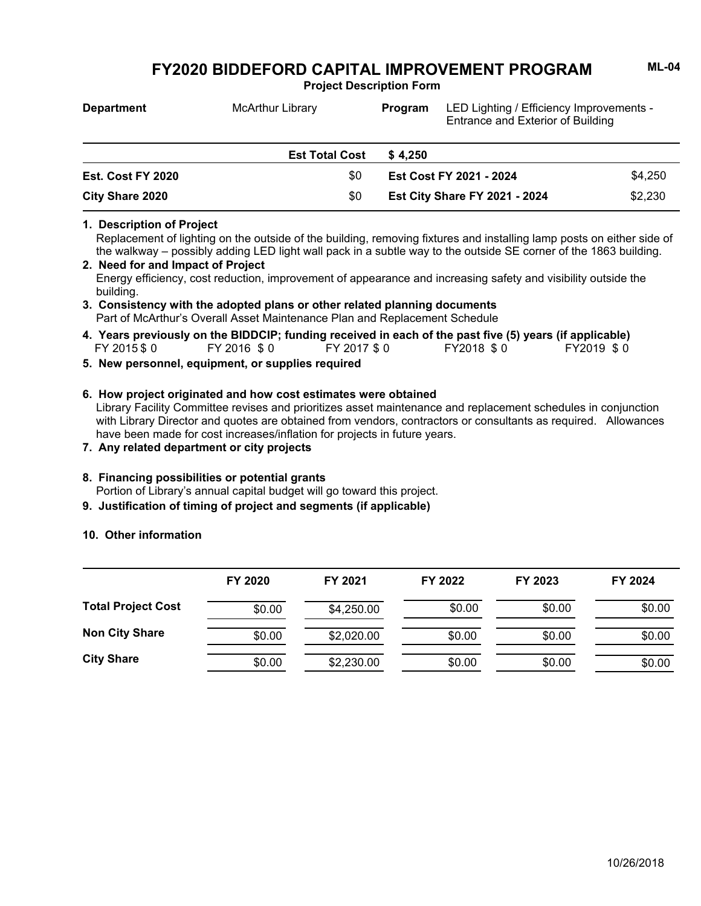**Project Description Form**

| <b>Department</b>        | <b>McArthur Library</b> | LED Lighting / Efficiency Improvements -<br>Program<br>Entrance and Exterior of Building |                                |         |
|--------------------------|-------------------------|------------------------------------------------------------------------------------------|--------------------------------|---------|
|                          | <b>Est Total Cost</b>   | \$4.250                                                                                  |                                |         |
| <b>Est. Cost FY 2020</b> | \$0                     |                                                                                          | <b>Est Cost FY 2021 - 2024</b> | \$4,250 |

Replacement of lighting on the outside of the building, removing fixtures and installing lamp posts on either side of the walkway – possibly adding LED light wall pack in a subtle way to the outside SE corner of the 1863 building. **1. Description of Project**

- Energy efficiency, cost reduction, improvement of appearance and increasing safety and visibility outside the building. **2. Need for and Impact of Project**
- Part of McArthur's Overall Asset Maintenance Plan and Replacement Schedule **3. Consistency with the adopted plans or other related planning documents**
- FY 2015 \$ 0 FY 2016 \$ 0 FY 2017 \$ 0 FY2018 \$ 0 FY2019 \$ 0 **4. Years previously on the BIDDCIP; funding received in each of the past five (5) years (if applicable)**

### **5. New personnel, equipment, or supplies required**

**City Share 2020** \$0

- Library Facility Committee revises and prioritizes asset maintenance and replacement schedules in conjunction with Library Director and quotes are obtained from vendors, contractors or consultants as required. Allowances have been made for cost increases/inflation for projects in future years. **6. How project originated and how cost estimates were obtained**
- **7. Any related department or city projects**

### **8. Financing possibilities or potential grants**

Portion of Library's annual capital budget will go toward this project.

**9. Justification of timing of project and segments (if applicable)**

# **10. Other information**

|                           | FY 2020 | FY 2021    | FY 2022 | FY 2023 | FY 2024 |
|---------------------------|---------|------------|---------|---------|---------|
| <b>Total Project Cost</b> | \$0.00  | \$4,250.00 | \$0.00  | \$0.00  | \$0.00  |
| <b>Non City Share</b>     | \$0.00  | \$2,020.00 | \$0.00  | \$0.00  | \$0.00  |
| <b>City Share</b>         | \$0.00  | \$2,230.00 | \$0.00  | \$0.00  | \$0.00  |

**Est City Share FY 2021 - 2024** \$2,230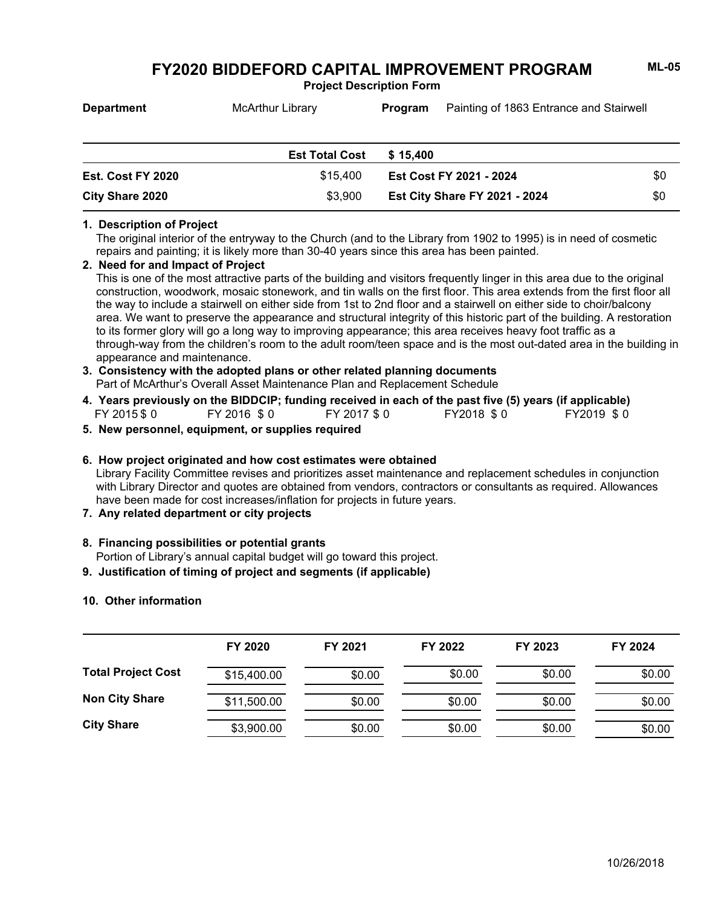**Project Description Form**

| <b>Department</b>      | <b>McArthur Library</b> | Program                 | Painting of 1863 Entrance and Stairwell |     |
|------------------------|-------------------------|-------------------------|-----------------------------------------|-----|
|                        | <b>Est Total Cost</b>   | \$15.400                |                                         |     |
| Est. Cost FY 2020      | \$15,400                | Est Cost FY 2021 - 2024 |                                         | \$0 |
| <b>City Share 2020</b> | \$3,900                 |                         | <b>Est City Share FY 2021 - 2024</b>    | \$0 |

#### **1. Description of Project**

The original interior of the entryway to the Church (and to the Library from 1902 to 1995) is in need of cosmetic repairs and painting; it is likely more than 30-40 years since this area has been painted.

#### **2. Need for and Impact of Project**

This is one of the most attractive parts of the building and visitors frequently linger in this area due to the original construction, woodwork, mosaic stonework, and tin walls on the first floor. This area extends from the first floor all the way to include a stairwell on either side from 1st to 2nd floor and a stairwell on either side to choir/balcony area. We want to preserve the appearance and structural integrity of this historic part of the building. A restoration to its former glory will go a long way to improving appearance; this area receives heavy foot traffic as a through-way from the children's room to the adult room/teen space and is the most out-dated area in the building in appearance and maintenance.

### Part of McArthur's Overall Asset Maintenance Plan and Replacement Schedule **3. Consistency with the adopted plans or other related planning documents**

- FY 2015 \$ 0 FY 2016 \$ 0 FY 2017 \$ 0 FY2018 \$ 0 FY2019 \$ 0 **4. Years previously on the BIDDCIP; funding received in each of the past five (5) years (if applicable)**
- **5. New personnel, equipment, or supplies required**

### **6. How project originated and how cost estimates were obtained**

Library Facility Committee revises and prioritizes asset maintenance and replacement schedules in conjunction with Library Director and quotes are obtained from vendors, contractors or consultants as required. Allowances have been made for cost increases/inflation for projects in future years.

**7. Any related department or city projects**

#### **8. Financing possibilities or potential grants**

Portion of Library's annual capital budget will go toward this project.

# **9. Justification of timing of project and segments (if applicable)**

#### **10. Other information**

|                           | FY 2020     | FY 2021 | FY 2022 | FY 2023 | FY 2024 |
|---------------------------|-------------|---------|---------|---------|---------|
| <b>Total Project Cost</b> | \$15,400.00 | \$0.00  | \$0.00  | \$0.00  | \$0.00  |
| <b>Non City Share</b>     | \$11,500.00 | \$0.00  | \$0.00  | \$0.00  | \$0.00  |
| <b>City Share</b>         | \$3,900.00  | \$0.00  | \$0.00  | \$0.00  | \$0.00  |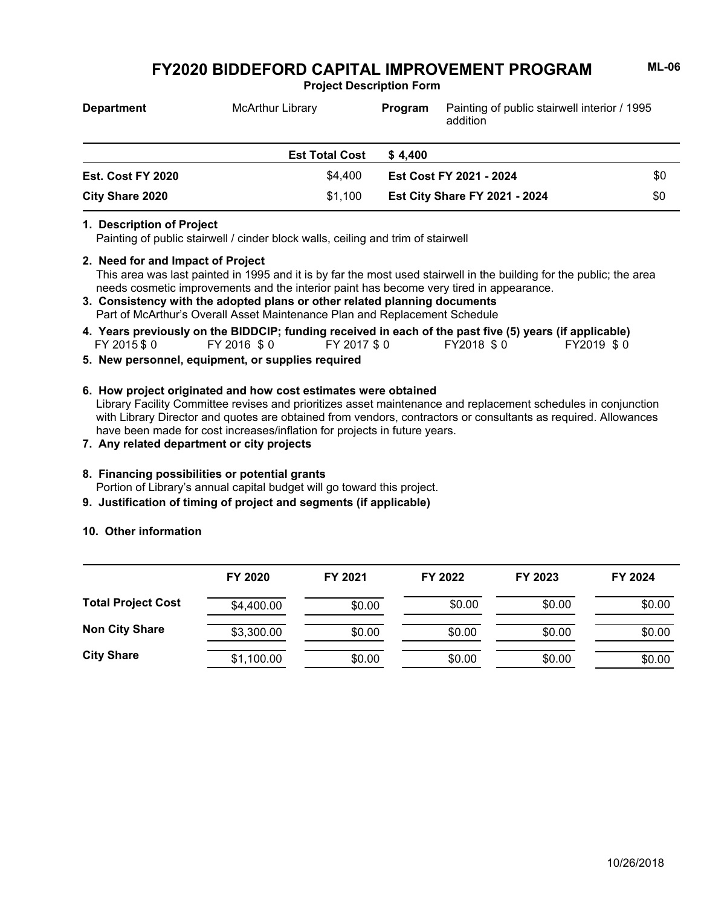**Project Description Form**

| <b>Department</b> | <b>McArthur Library</b> | Program                 | Painting of public stairwell interior / 1995<br>addition |     |
|-------------------|-------------------------|-------------------------|----------------------------------------------------------|-----|
|                   | <b>Est Total Cost</b>   | \$4.400                 |                                                          |     |
| Est. Cost FY 2020 | \$4.400                 | Est Cost FY 2021 - 2024 |                                                          | \$0 |
| City Share 2020   | \$1,100                 |                         | <b>Est City Share FY 2021 - 2024</b>                     | \$0 |

#### **1. Description of Project**

Painting of public stairwell / cinder block walls, ceiling and trim of stairwell

#### **2. Need for and Impact of Project**

This area was last painted in 1995 and it is by far the most used stairwell in the building for the public; the area needs cosmetic improvements and the interior paint has become very tired in appearance.

- Part of McArthur's Overall Asset Maintenance Plan and Replacement Schedule **3. Consistency with the adopted plans or other related planning documents**
- FY 2015 \$ 0 FY 2016 \$ 0 FY 2017 \$ 0 FY2018 \$ 0 FY2019 \$ 0 **4. Years previously on the BIDDCIP; funding received in each of the past five (5) years (if applicable)**
- **5. New personnel, equipment, or supplies required**

### **6. How project originated and how cost estimates were obtained**

Library Facility Committee revises and prioritizes asset maintenance and replacement schedules in conjunction with Library Director and quotes are obtained from vendors, contractors or consultants as required. Allowances have been made for cost increases/inflation for projects in future years.

**7. Any related department or city projects**

### **8. Financing possibilities or potential grants**

Portion of Library's annual capital budget will go toward this project.

**9. Justification of timing of project and segments (if applicable)**

|                           | FY 2020    | FY 2021 | FY 2022 | FY 2023 | FY 2024 |
|---------------------------|------------|---------|---------|---------|---------|
| <b>Total Project Cost</b> | \$4,400.00 | \$0.00  | \$0.00  | \$0.00  | \$0.00  |
| <b>Non City Share</b>     | \$3,300.00 | \$0.00  | \$0.00  | \$0.00  | \$0.00  |
| <b>City Share</b>         | \$1,100.00 | \$0.00  | \$0.00  | \$0.00  | \$0.00  |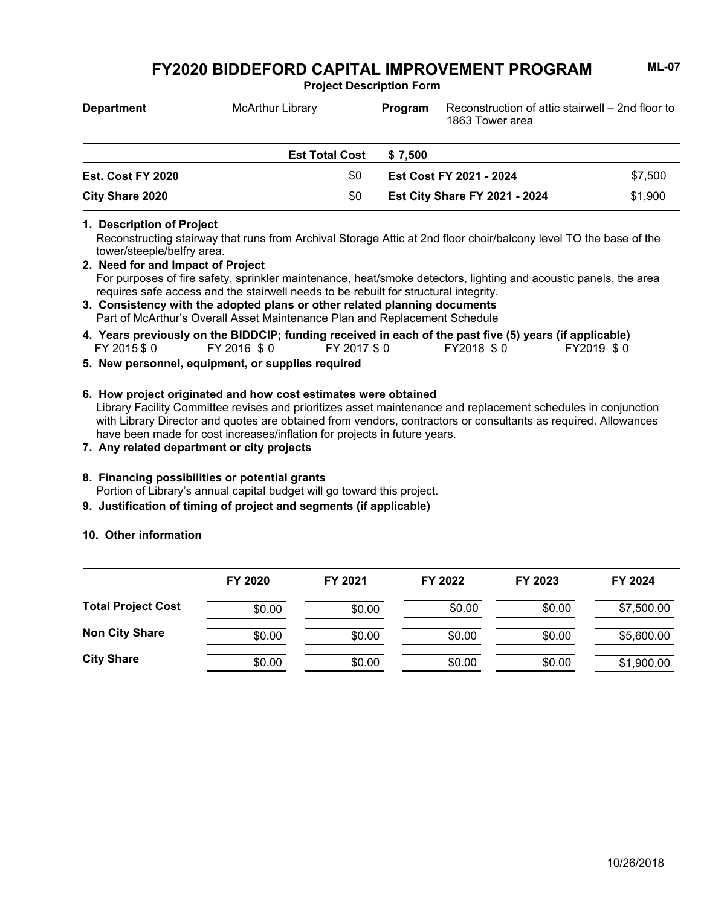**Project Description Form**

| <b>Department</b>        | <b>McArthur Library</b> | Reconstruction of attic stairwell – 2nd floor to<br><b>Program</b><br>1863 Tower area |                                      |         |
|--------------------------|-------------------------|---------------------------------------------------------------------------------------|--------------------------------------|---------|
|                          | <b>Est Total Cost</b>   | \$7.500                                                                               |                                      |         |
| <b>Est. Cost FY 2020</b> | \$0                     |                                                                                       | <b>Est Cost FY 2021 - 2024</b>       | \$7,500 |
| <b>City Share 2020</b>   | \$0                     |                                                                                       | <b>Est City Share FY 2021 - 2024</b> | \$1,900 |

# **1. Description of Project**

Reconstructing stairway that runs from Archival Storage Attic at 2nd floor choir/balcony level TO the base of the tower/steeple/belfry area.

### For purposes of fire safety, sprinkler maintenance, heat/smoke detectors, lighting and acoustic panels, the area requires safe access and the stairwell needs to be rebuilt for structural integrity. **2. Need for and Impact of Project**

Part of McArthur's Overall Asset Maintenance Plan and Replacement Schedule **3. Consistency with the adopted plans or other related planning documents**

|              |             | 4. Years previously on the BIDDCIP; funding received in each of the past five (5) years (if applicable) |            |            |
|--------------|-------------|---------------------------------------------------------------------------------------------------------|------------|------------|
| FY 2015 \$ 0 | FY 2016 \$0 | FY 2017 \$ 0                                                                                            | FY2018 \$0 | FY2019 \$0 |

### **5. New personnel, equipment, or supplies required**

- Library Facility Committee revises and prioritizes asset maintenance and replacement schedules in conjunction with Library Director and quotes are obtained from vendors, contractors or consultants as required. Allowances have been made for cost increases/inflation for projects in future years. **6. How project originated and how cost estimates were obtained**
- **7. Any related department or city projects**

### **8. Financing possibilities or potential grants**

Portion of Library's annual capital budget will go toward this project.

**9. Justification of timing of project and segments (if applicable)**

|                           | FY 2020 | FY 2021 | FY 2022 | FY 2023 | FY 2024    |
|---------------------------|---------|---------|---------|---------|------------|
| <b>Total Project Cost</b> | \$0.00  | \$0.00  | \$0.00  | \$0.00  | \$7,500.00 |
| <b>Non City Share</b>     | \$0.00  | \$0.00  | \$0.00  | \$0.00  | \$5,600.00 |
| <b>City Share</b>         | \$0.00  | \$0.00  | \$0.00  | \$0.00  | \$1,900.00 |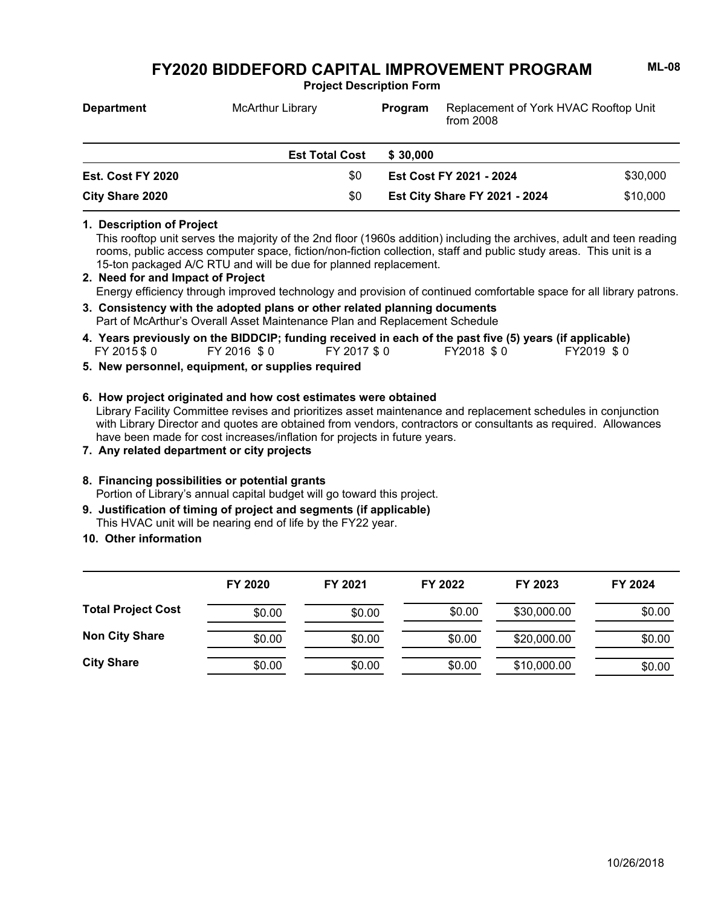**Project Description Form**

| <b>Department</b>        | <b>McArthur Library</b> | Replacement of York HVAC Rooftop Unit<br><b>Program</b><br>from $2008$ |                                      |          |
|--------------------------|-------------------------|------------------------------------------------------------------------|--------------------------------------|----------|
|                          | <b>Est Total Cost</b>   | \$30,000                                                               |                                      |          |
| <b>Est. Cost FY 2020</b> | \$0                     |                                                                        | <b>Est Cost FY 2021 - 2024</b>       | \$30,000 |
| City Share 2020          | \$0                     |                                                                        | <b>Est City Share FY 2021 - 2024</b> | \$10,000 |

#### **1. Description of Project**

This rooftop unit serves the majority of the 2nd floor (1960s addition) including the archives, adult and teen reading rooms, public access computer space, fiction/non-fiction collection, staff and public study areas. This unit is a 15-ton packaged A/C RTU and will be due for planned replacement.

- Energy efficiency through improved technology and provision of continued comfortable space for all library patrons. **2. Need for and Impact of Project**
- Part of McArthur's Overall Asset Maintenance Plan and Replacement Schedule **3. Consistency with the adopted plans or other related planning documents**
- FY 2015 \$0 FY 2016 \$0 FY 2017 \$0 FY2018 \$0 FY2019 \$0 **4. Years previously on the BIDDCIP; funding received in each of the past five (5) years (if applicable)**
- **5. New personnel, equipment, or supplies required**
- Library Facility Committee revises and prioritizes asset maintenance and replacement schedules in conjunction with Library Director and quotes are obtained from vendors, contractors or consultants as required. Allowances have been made for cost increases/inflation for projects in future years. **6. How project originated and how cost estimates were obtained**
- **7. Any related department or city projects**

# **8. Financing possibilities or potential grants**

Portion of Library's annual capital budget will go toward this project.

- This HVAC unit will be nearing end of life by the FY22 year. **9. Justification of timing of project and segments (if applicable)**
- **10. Other information**

|                           | FY 2020 | FY 2021 | FY 2022 | FY 2023     | FY 2024 |
|---------------------------|---------|---------|---------|-------------|---------|
| <b>Total Project Cost</b> | \$0.00  | \$0.00  | \$0.00  | \$30,000.00 | \$0.00  |
| <b>Non City Share</b>     | \$0.00  | \$0.00  | \$0.00  | \$20,000.00 | \$0.00  |
| <b>City Share</b>         | \$0.00  | \$0.00  | \$0.00  | \$10,000.00 | \$0.00  |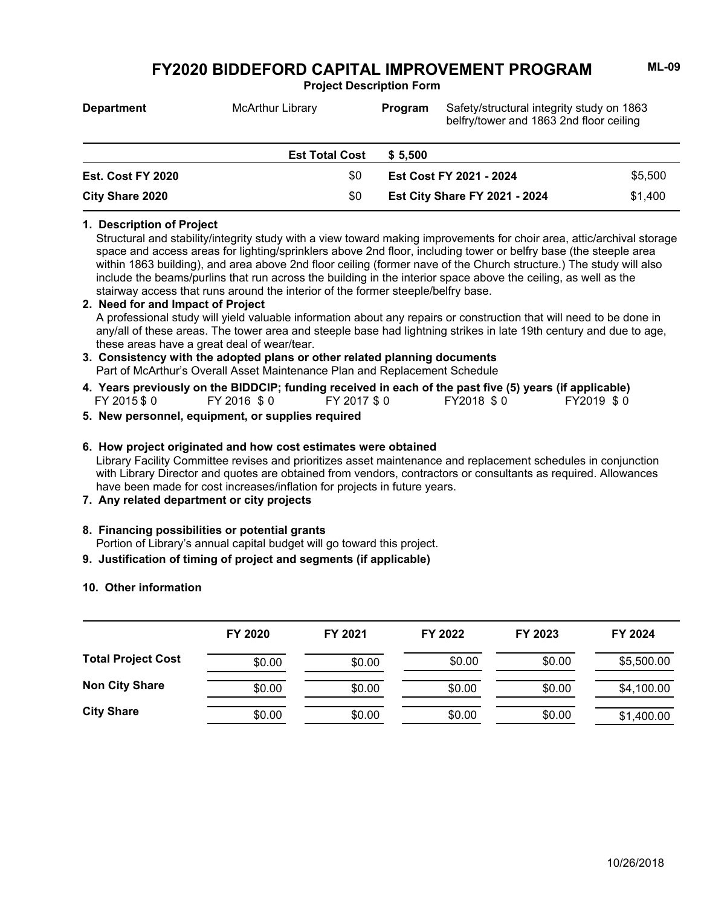**Project Description Form**

| <b>Department</b>        | <b>McArthur Library</b> | Program  | Safety/structural integrity study on 1863<br>belfry/tower and 1863 2nd floor ceiling |         |  |
|--------------------------|-------------------------|----------|--------------------------------------------------------------------------------------|---------|--|
|                          | <b>Est Total Cost</b>   | \$ 5.500 |                                                                                      |         |  |
| <b>Est. Cost FY 2020</b> | \$0                     |          | Est Cost FY 2021 - 2024                                                              | \$5,500 |  |
| City Share 2020          | \$0                     |          | <b>Est City Share FY 2021 - 2024</b>                                                 | \$1,400 |  |

#### **1. Description of Project**

Structural and stability/integrity study with a view toward making improvements for choir area, attic/archival storage space and access areas for lighting/sprinklers above 2nd floor, including tower or belfry base (the steeple area within 1863 building), and area above 2nd floor ceiling (former nave of the Church structure.) The study will also include the beams/purlins that run across the building in the interior space above the ceiling, as well as the stairway access that runs around the interior of the former steeple/belfry base.

#### **2. Need for and Impact of Project**

A professional study will yield valuable information about any repairs or construction that will need to be done in any/all of these areas. The tower area and steeple base had lightning strikes in late 19th century and due to age, these areas have a great deal of wear/tear.

# **3. Consistency with the adopted plans or other related planning documents**

- Part of McArthur's Overall Asset Maintenance Plan and Replacement Schedule
- FY 2015 \$ 0 FY 2016 \$ 0 FY 2017 \$ 0 FY2018 \$ 0 FY2019 \$ 0 **4. Years previously on the BIDDCIP; funding received in each of the past five (5) years (if applicable)**
- **5. New personnel, equipment, or supplies required**

#### **6. How project originated and how cost estimates were obtained**

Library Facility Committee revises and prioritizes asset maintenance and replacement schedules in conjunction with Library Director and quotes are obtained from vendors, contractors or consultants as required. Allowances have been made for cost increases/inflation for projects in future years.

**7. Any related department or city projects**

#### **8. Financing possibilities or potential grants**

- Portion of Library's annual capital budget will go toward this project.
- **9. Justification of timing of project and segments (if applicable)**

|                           | FY 2020 | FY 2021 | FY 2022 | FY 2023 | FY 2024    |
|---------------------------|---------|---------|---------|---------|------------|
| <b>Total Project Cost</b> | \$0.00  | \$0.00  | \$0.00  | \$0.00  | \$5,500.00 |
| <b>Non City Share</b>     | \$0.00  | \$0.00  | \$0.00  | \$0.00  | \$4,100.00 |
| <b>City Share</b>         | \$0.00  | \$0.00  | \$0.00  | \$0.00  | \$1,400.00 |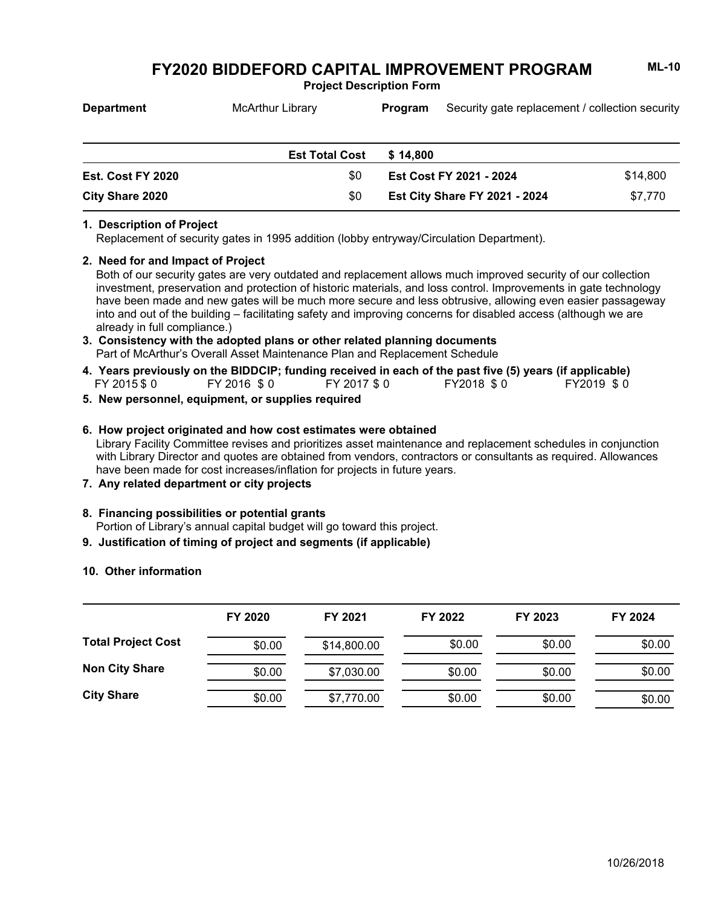**Project Description Form**

| <b>Department</b>      | <b>McArthur Library</b> | Program  | Security gate replacement / collection security |          |  |
|------------------------|-------------------------|----------|-------------------------------------------------|----------|--|
|                        | <b>Est Total Cost</b>   | \$14,800 |                                                 |          |  |
| Est. Cost FY 2020      | \$0                     |          | Est Cost FY 2021 - 2024                         | \$14,800 |  |
| <b>City Share 2020</b> | \$0                     |          | <b>Est City Share FY 2021 - 2024</b>            | \$7,770  |  |

#### **1. Description of Project**

Replacement of security gates in 1995 addition (lobby entryway/Circulation Department).

#### **2. Need for and Impact of Project**

Both of our security gates are very outdated and replacement allows much improved security of our collection investment, preservation and protection of historic materials, and loss control. Improvements in gate technology have been made and new gates will be much more secure and less obtrusive, allowing even easier passageway into and out of the building – facilitating safety and improving concerns for disabled access (although we are already in full compliance.)

#### Part of McArthur's Overall Asset Maintenance Plan and Replacement Schedule **3. Consistency with the adopted plans or other related planning documents**

- FY 2015 \$ 0 FY 2016 \$ 0 FY 2017 \$ 0 FY2018 \$ 0 FY2019 \$ 0 **4. Years previously on the BIDDCIP; funding received in each of the past five (5) years (if applicable)**
- **5. New personnel, equipment, or supplies required**

#### **6. How project originated and how cost estimates were obtained**

Library Facility Committee revises and prioritizes asset maintenance and replacement schedules in conjunction with Library Director and quotes are obtained from vendors, contractors or consultants as required. Allowances have been made for cost increases/inflation for projects in future years.

### **7. Any related department or city projects**

**8. Financing possibilities or potential grants**

Portion of Library's annual capital budget will go toward this project.

**9. Justification of timing of project and segments (if applicable)**

|                           | FY 2020 | FY 2021     | FY 2022 | FY 2023 | FY 2024 |  |
|---------------------------|---------|-------------|---------|---------|---------|--|
| <b>Total Project Cost</b> | \$0.00  | \$14,800.00 | \$0.00  | \$0.00  | \$0.00  |  |
| <b>Non City Share</b>     | \$0.00  | \$7,030.00  | \$0.00  | \$0.00  | \$0.00  |  |
| <b>City Share</b>         | \$0.00  | \$7,770.00  | \$0.00  | \$0.00  | \$0.00  |  |